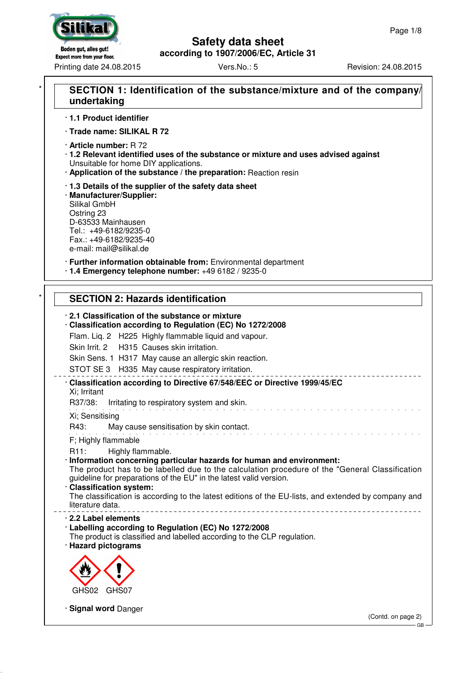# Boden gut, alles gut! **Expect more from your floor.**

Printing date 24.08.2015 Vers.No.: 5 Revision: 24.08.2015

## **Safety data sheet according to 1907/2006/EC, Article 31**

# SECTION 1: Identification of the substance/mixture and of the company/ **undertaking**

· **1.1 Product identifier**

· **Trade name: SILIKAL R 72**

· **Article number:** R 72

- · **1.2 Relevant identified uses of the substance or mixture and uses advised against** Unsuitable for home DIY applications.
- · **Application of the substance / the preparation:** Reaction resin

· **1.3 Details of the supplier of the safety data sheet**

· **Manufacturer/Supplier:** Silikal GmbH Ostring 23 D-63533 Mainhausen Tel.: +49-6182/9235-0 Fax.: +49-6182/9235-40 e-mail: mail@silikal.de

· **Further information obtainable from:** Environmental department · **1.4 Emergency telephone number:** +49 6182 / 9235-0

# **SECTION 2: Hazards identification**

· **2.1 Classification of the substance or mixture** · **Classification according to Regulation (EC) No 1272/2008** Flam. Liq. 2 H225 Highly flammable liquid and vapour. Skin Irrit. 2 H315 Causes skin irritation. Skin Sens. 1 H317 May cause an allergic skin reaction. STOT SE 3 H335 May cause respiratory irritation. · **Classification according to Directive 67/548/EEC or Directive 1999/45/EC** Xi; Irritant R37/38: Irritating to respiratory system and skin. and a share and a share and Xi; Sensitising R43: May cause sensitisation by skin contact. F; Highly flammable R11: Highly flammable. · **Information concerning particular hazards for human and environment:** The product has to be labelled due to the calculation procedure of the "General Classification guideline for preparations of the EU" in the latest valid version. · **Classification system:** The classification is according to the latest editions of the EU-lists, and extended by company and literature data. · **2.2 Label elements** · **Labelling according to Regulation (EC) No 1272/2008** The product is classified and labelled according to the CLP regulation. · **Hazard pictograms** GHS02 GHS07 · **Signal word** Danger (Contd. on page 2) GB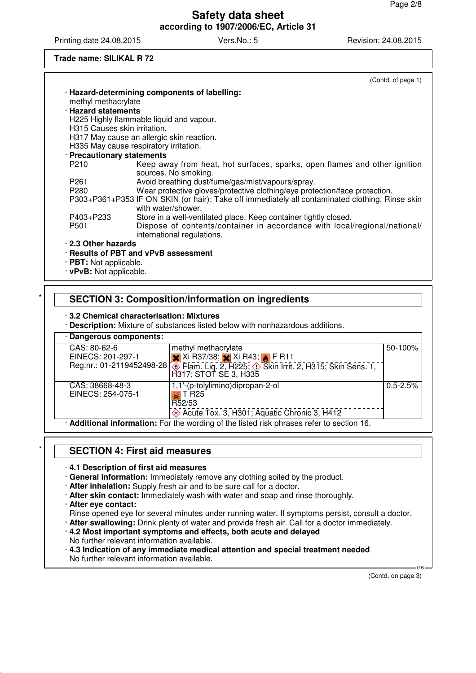Printing date 24.08.2015 Vers.No.: 5 Revision: 24.08.2015

**Trade name: SILIKAL R 72**

|                                          | (Contd. of page 1)                                                                                                    |
|------------------------------------------|-----------------------------------------------------------------------------------------------------------------------|
|                                          | · Hazard-determining components of labelling:                                                                         |
| methyl methacrylate                      |                                                                                                                       |
| · Hazard statements                      |                                                                                                                       |
|                                          | H225 Highly flammable liquid and vapour.                                                                              |
| H <sub>315</sub> Causes skin irritation. |                                                                                                                       |
|                                          | H317 May cause an allergic skin reaction.                                                                             |
|                                          | H335 May cause respiratory irritation.                                                                                |
| · Precautionary statements               |                                                                                                                       |
| P <sub>210</sub>                         | Keep away from heat, hot surfaces, sparks, open flames and other ignition<br>sources. No smoking.                     |
| P261                                     | Avoid breathing dust/fume/gas/mist/vapours/spray.                                                                     |
| P280                                     | Wear protective gloves/protective clothing/eye protection/face protection.                                            |
|                                          | P303+P361+P353 IF ON SKIN (or hair): Take off immediately all contaminated clothing. Rinse skin<br>with water/shower. |
| P403+P233                                | Store in a well-ventilated place. Keep container tightly closed.                                                      |
| P <sub>501</sub>                         | Dispose of contents/container in accordance with local/regional/national/<br>international regulations.               |
| . 2.3 Other hazards                      |                                                                                                                       |
|                                          | · Results of PBT and vPvB assessment                                                                                  |
| $\cdot$ PBT: Not applicable.             |                                                                                                                       |

· **vPvB:** Not applicable.

# \* **SECTION 3: Composition/information on ingredients**

#### · **3.2 Chemical characterisation: Mixtures**

· **Description:** Mixture of substances listed below with nonhazardous additions.

| · Dangerous components: |                                                                                                                                 |              |  |
|-------------------------|---------------------------------------------------------------------------------------------------------------------------------|--------------|--|
| CAS: 80-62-6            | methyl methacrylate                                                                                                             | 50-100%      |  |
| EINECS: 201-297-1       | $\mathsf{\times}$ Xi R37/38; $\mathsf{\times}$ Xi R43; $\mathsf{\bullet}$ F R11                                                 |              |  |
|                         | Reg.nr.: 01-2119452498-28 <b>.</b> Flam. Lig. 2, H225; $\circled{}$ Skin Irrit. 2, H315; Skin Sens. 1,<br>H317; STOT SE 3, H335 |              |  |
| CAS: 38668-48-3         | 1,1'-(p-tolylimino)dipropan-2-ol                                                                                                | $0.5 - 2.5%$ |  |
| EINECS: 254-075-1       | $\overline{\Omega}$ l T R25                                                                                                     |              |  |
|                         | R52/53                                                                                                                          |              |  |
|                         | Acute Tox. 3, H301; Aquatic Chronic 3, H412                                                                                     |              |  |
|                         | <b>Additional information:</b> For the wording of the listed risk phrases refer to section 16                                   |              |  |

**Additional information:** For the wording of the listed risk phrases

# \* **SECTION 4: First aid measures**

#### · **4.1 Description of first aid measures**

· **General information:** Immediately remove any clothing soiled by the product.

· **After inhalation:** Supply fresh air and to be sure call for a doctor.

- · **After skin contact:** Immediately wash with water and soap and rinse thoroughly.
- · **After eye contact:**
- Rinse opened eye for several minutes under running water. If symptoms persist, consult a doctor.
- · **After swallowing:** Drink plenty of water and provide fresh air. Call for a doctor immediately.
- · **4.2 Most important symptoms and effects, both acute and delayed**
- No further relevant information available.

· **4.3 Indication of any immediate medical attention and special treatment needed** No further relevant information available.

(Contd. on page 3)

GB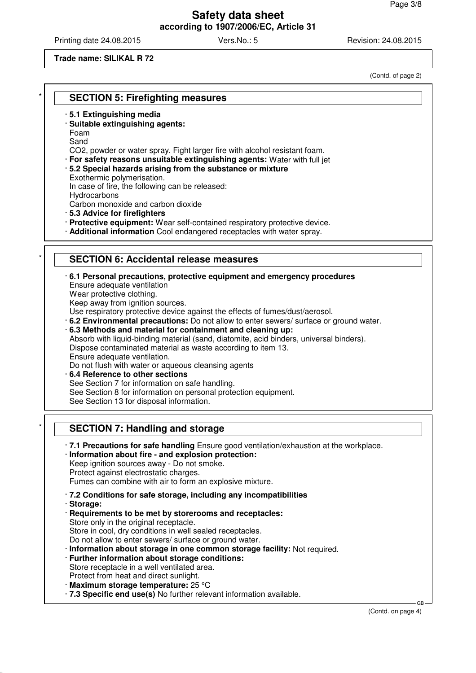Printing date 24.08.2015 Vers.No.: 5 Revision: 24.08.2015

#### **Trade name: SILIKAL R 72**

**SECTION 5: Firefighting measures** 

- · **5.1 Extinguishing media**
- · **Suitable extinguishing agents:**
- Foam Sand
- CO2, powder or water spray. Fight larger fire with alcohol resistant foam.
- · **For safety reasons unsuitable extinguishing agents:** Water with full jet
- · **5.2 Special hazards arising from the substance or mixture** Exothermic polymerisation. In case of fire, the following can be released: **Hydrocarbons**

Carbon monoxide and carbon dioxide

- · **5.3 Advice for firefighters**
- · **Protective equipment:** Wear self-contained respiratory protective device.
- · **Additional information** Cool endangered receptacles with water spray.

# **SECTION 6: Accidental release measures**

#### · **6.1 Personal precautions, protective equipment and emergency procedures**

- Ensure adequate ventilation
- Wear protective clothing.

Keep away from ignition sources.

Use respiratory protective device against the effects of fumes/dust/aerosol.

· **6.2 Environmental precautions:** Do not allow to enter sewers/ surface or ground water.

· **6.3 Methods and material for containment and cleaning up:**

Absorb with liquid-binding material (sand, diatomite, acid binders, universal binders). Dispose contaminated material as waste according to item 13.

Ensure adequate ventilation.

Do not flush with water or aqueous cleansing agents

· **6.4 Reference to other sections**

See Section 7 for information on safe handling.

- See Section 8 for information on personal protection equipment.
- See Section 13 for disposal information.

# **SECTION 7: Handling and storage**

- · **7.1 Precautions for safe handling** Ensure good ventilation/exhaustion at the workplace.
- · **Information about fire and explosion protection:**

Keep ignition sources away - Do not smoke. Protect against electrostatic charges.

Fumes can combine with air to form an explosive mixture.

· **7.2 Conditions for safe storage, including any incompatibilities**

· **Storage:**

· **Requirements to be met by storerooms and receptacles:** Store only in the original receptacle.

Store in cool, dry conditions in well sealed receptacles.

Do not allow to enter sewers/ surface or ground water.

- · **Information about storage in one common storage facility:** Not required.
- · **Further information about storage conditions:**
- Store receptacle in a well ventilated area. Protect from heat and direct sunlight.
- · **Maximum storage temperature:** 25 °C
- · **7.3 Specific end use(s)** No further relevant information available.

GB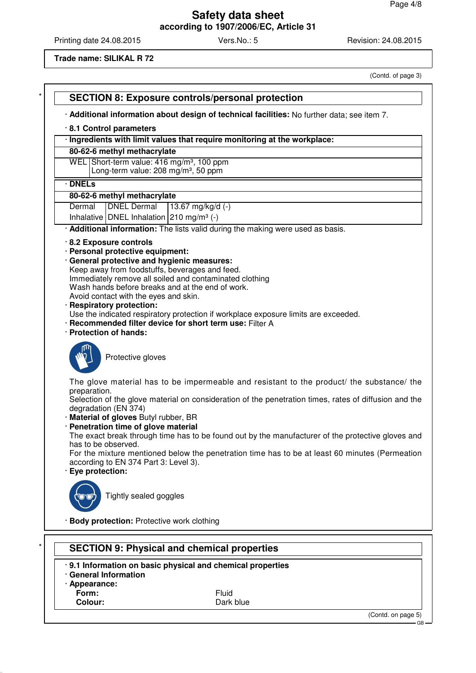Printing date 24.08.2015 Vers.No.: 5 Revision: 24.08.2015

#### **Trade name: SILIKAL R 72**

(Contd. of page 3) **SECTION 8: Exposure controls/personal protection** · **Additional information about design of technical facilities:** No further data; see item 7. · **8.1 Control parameters** · **Ingredients with limit values that require monitoring at the workplace: 80-62-6 methyl methacrylate** WEL Short-term value: 416 mg/m<sup>3</sup>, 100 ppm Long-term value:  $208$  mg/m<sup>3</sup>, 50 ppm · **DNELs 80-62-6 methyl methacrylate** Dermal **DNEL Dermal** 13.67 mg/kg/d (-) Inhalative DNEL Inhalation 210 mg/m<sup>3</sup> (-) · **Additional information:** The lists valid during the making were used as basis. · **8.2 Exposure controls** · **Personal protective equipment:** · **General protective and hygienic measures:** Keep away from foodstuffs, beverages and feed. Immediately remove all soiled and contaminated clothing Wash hands before breaks and at the end of work. Avoid contact with the eyes and skin. · **Respiratory protection:** Use the indicated respiratory protection if workplace exposure limits are exceeded. · **Recommended filter device for short term use:** Filter A · **Protection of hands:** Protective gloves The glove material has to be impermeable and resistant to the product/ the substance/ the preparation. Selection of the glove material on consideration of the penetration times, rates of diffusion and the degradation (EN 374) · **Material of gloves** Butyl rubber, BR · **Penetration time of glove material** The exact break through time has to be found out by the manufacturer of the protective gloves and has to be observed. For the mixture mentioned below the penetration time has to be at least 60 minutes (Permeation according to EN 374 Part 3: Level 3). · **Eye protection:** Tightly sealed goggles · **Body protection:** Protective work clothing **SECTION 9: Physical and chemical properties** 

- · **9.1 Information on basic physical and chemical properties**
- · **General Information**
- · **Appearance:**
- 

**Form:** Fluid **Colour:** Dark blue

(Contd. on page 5)

GB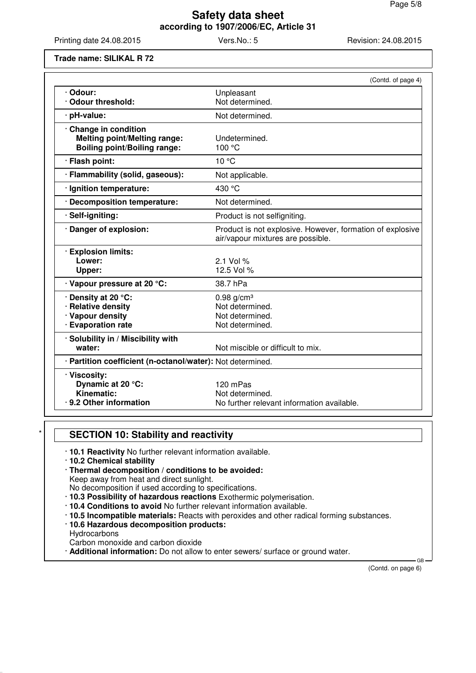Printing date 24.08.2015 Vers.No.: 5 Revision: 24.08.2015

**Trade name: SILIKAL R 72**

|                                                                                                   | (Contd. of page 4)                                                                             |
|---------------------------------------------------------------------------------------------------|------------------------------------------------------------------------------------------------|
| · Odour:<br>Odour threshold:                                                                      | Unpleasant<br>Not determined.                                                                  |
|                                                                                                   |                                                                                                |
| · pH-value:                                                                                       | Not determined.                                                                                |
| Change in condition<br><b>Melting point/Melting range:</b><br><b>Boiling point/Boiling range:</b> | Undetermined.<br>100 °C                                                                        |
| · Flash point:                                                                                    | 10 °C                                                                                          |
| · Flammability (solid, gaseous):                                                                  | Not applicable.                                                                                |
| · Ignition temperature:                                                                           | 430 °C                                                                                         |
| · Decomposition temperature:                                                                      | Not determined.                                                                                |
| · Self-igniting:                                                                                  | Product is not selfigniting.                                                                   |
| · Danger of explosion:                                                                            | Product is not explosive. However, formation of explosive<br>air/vapour mixtures are possible. |
| · Explosion limits:<br>Lower:<br>Upper:                                                           | $2.1$ Vol %<br>12.5 Vol %                                                                      |
| · Vapour pressure at 20 °C:                                                                       | 38.7 hPa                                                                                       |
| · Density at 20 °C:<br>· Relative density<br>· Vapour density<br>· Evaporation rate               | $0.98$ g/cm <sup>3</sup><br>Not determined.<br>Not determined.<br>Not determined.              |
| · Solubility in / Miscibility with<br>water:                                                      | Not miscible or difficult to mix.                                                              |
| · Partition coefficient (n-octanol/water): Not determined.                                        |                                                                                                |
| · Viscosity:<br>Dynamic at 20 °C:<br>Kinematic:<br>.9.2 Other information                         | 120 mPas<br>Not determined.<br>No further relevant information available.                      |

# **SECTION 10: Stability and reactivity**

- · **10.1 Reactivity** No further relevant information available.
- · **10.2 Chemical stability**
- · **Thermal decomposition / conditions to be avoided:**

Keep away from heat and direct sunlight.

No decomposition if used according to specifications.

- · **10.3 Possibility of hazardous reactions** Exothermic polymerisation.
- · **10.4 Conditions to avoid** No further relevant information available.
- · **10.5 Incompatible materials:** Reacts with peroxides and other radical forming substances.
- · **10.6 Hazardous decomposition products:**
- **Hydrocarbons**

Carbon monoxide and carbon dioxide

· **Additional information:** Do not allow to enter sewers/ surface or ground water.

(Contd. on page 6)

GB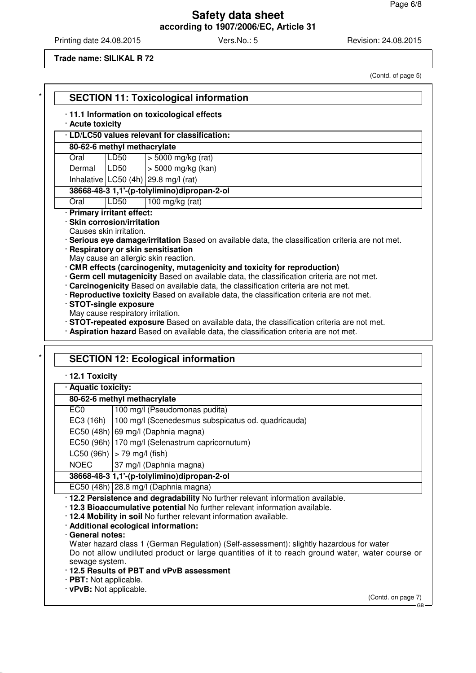Printing date 24.08.2015 Vers.No.: 5 Revision: 24.08.2015

(Contd. of page 5)

**Trade name: SILIKAL R 72**

| · Acute toxicity                                        |      | · 11.1 Information on toxicological effects                                                                                        |
|---------------------------------------------------------|------|------------------------------------------------------------------------------------------------------------------------------------|
|                                                         |      | · LD/LC50 values relevant for classification:                                                                                      |
| 80-62-6 methyl methacrylate                             |      |                                                                                                                                    |
| Oral                                                    | LD50 | $>$ 5000 mg/kg (rat)                                                                                                               |
| Dermal                                                  | LD50 | > 5000 mg/kg (kan)                                                                                                                 |
|                                                         |      | Inhalative $ LC50 (4h) $ 29.8 mg/l (rat)                                                                                           |
|                                                         |      | 38668-48-3 1,1'-(p-tolylimino)dipropan-2-ol                                                                                        |
| Oral                                                    | LD50 | 100 mg/kg (rat)                                                                                                                    |
| · Primary irritant effect:                              |      |                                                                                                                                    |
| · Skin corrosion/irritation                             |      |                                                                                                                                    |
| Causes skin irritation.                                 |      |                                                                                                                                    |
|                                                         |      | · Serious eye damage/irritation Based on available data, the classification criteria are not met.                                  |
|                                                         |      | · Respiratory or skin sensitisation                                                                                                |
|                                                         |      | May cause an allergic skin reaction.                                                                                               |
|                                                         |      | · CMR effects (carcinogenity, mutagenicity and toxicity for reproduction)                                                          |
|                                                         |      | · Germ cell mutagenicity Based on available data, the classification criteria are not met.                                         |
|                                                         |      | · Carcinogenicity Based on available data, the classification criteria are not met.                                                |
| · STOT-single exposure                                  |      | · Reproductive toxicity Based on available data, the classification criteria are not met.                                          |
| May cause respiratory irritation.                       |      |                                                                                                                                    |
|                                                         |      | · STOT-repeated exposure Based on available data, the classification criteria are not met.                                         |
|                                                         |      |                                                                                                                                    |
|                                                         |      | · Aspiration hazard Based on available data, the classification criteria are not met.<br><b>SECTION 12: Ecological information</b> |
| · 12.1 Toxicity                                         |      |                                                                                                                                    |
| · Aquatic toxicity:                                     |      |                                                                                                                                    |
| 80-62-6 methyl methacrylate                             |      |                                                                                                                                    |
| EC <sub>0</sub>                                         |      | 100 mg/l (Pseudomonas pudita)                                                                                                      |
| EC3 (16h)                                               |      | 100 mg/l (Scenedesmus subspicatus od. quadricauda)                                                                                 |
|                                                         |      |                                                                                                                                    |
|                                                         |      | EC50 (48h) 69 mg/l (Daphnia magna)                                                                                                 |
|                                                         |      | EC50 (96h) 170 mg/l (Selenastrum capricornutum)                                                                                    |
| LC50 (96h) $ $ > 79 mg/l (fish)                         |      |                                                                                                                                    |
| <b>NOEC</b>                                             |      | 37 mg/l (Daphnia magna)                                                                                                            |
|                                                         |      | 38668-48-3 1,1'-(p-tolylimino)dipropan-2-ol                                                                                        |
|                                                         |      | EC50 (48h) 28.8 mg/l (Daphnia magna)                                                                                               |
|                                                         |      | . 12.2 Persistence and degradability No further relevant information available.                                                    |
|                                                         |      | . 12.3 Bioaccumulative potential No further relevant information available.                                                        |
|                                                         |      | . 12.4 Mobility in soil No further relevant information available.                                                                 |
|                                                         |      | · Additional ecological information:                                                                                               |
| · General notes:                                        |      |                                                                                                                                    |
|                                                         |      | Water hazard class 1 (German Regulation) (Self-assessment): slightly hazardous for water                                           |
|                                                         |      |                                                                                                                                    |
| sewage system.                                          |      |                                                                                                                                    |
|                                                         |      | .12.5 Results of PBT and vPvB assessment                                                                                           |
| $\cdot$ PBT: Not applicable.<br>· vPvB: Not applicable. |      | Do not allow undiluted product or large quantities of it to reach ground water, water course or                                    |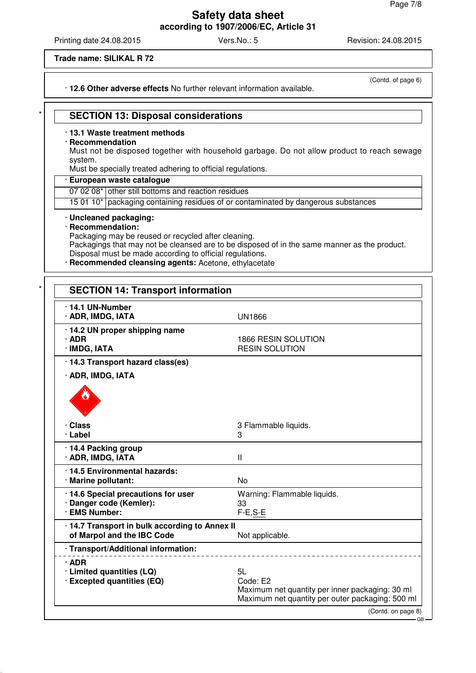Printing date 24.08.2015 **Vers.No.: 5** Vers.No.: 5 Revision: 24.08.2015

**Trade name: SILIKAL R 72**

· **12.6 Other adverse effects** No further relevant information available.

(Contd. of page 6)

GB

# **SECTION 13: Disposal considerations**

#### · **13.1 Waste treatment methods**

#### · **Recommendation**

Must not be disposed together with household garbage. Do not allow product to reach sewage system.

Must be specially treated adhering to official regulations.

### · **European waste catalogue**

07 02 08\* other still bottoms and reaction residues

15 01 10\* packaging containing residues of or contaminated by dangerous substances

#### · **Uncleaned packaging:**

#### · **Recommendation:**

Packaging may be reused or recycled after cleaning.

Packagings that may not be cleansed are to be disposed of in the same manner as the product. Disposal must be made according to official regulations.

· **Recommended cleansing agents:** Acetone, ethylacetate

| 14.1 UN-Number<br>· ADR, IMDG, IATA                                             | <b>UN1866</b>                                                                                                         |
|---------------------------------------------------------------------------------|-----------------------------------------------------------------------------------------------------------------------|
| · 14.2 UN proper shipping name<br>$·$ ADR<br>· IMDG, IATA                       | 1866 RESIN SOLUTION<br><b>RESIN SOLUTION</b>                                                                          |
| · 14.3 Transport hazard class(es)                                               |                                                                                                                       |
| · ADR, IMDG, IATA                                                               |                                                                                                                       |
|                                                                                 |                                                                                                                       |
| · Class<br>· Label                                                              | 3 Flammable liquids.<br>3                                                                                             |
| · 14.4 Packing group<br>· ADR, IMDG, IATA                                       | $\mathbf{I}$                                                                                                          |
| · 14.5 Environmental hazards:<br>· Marine pollutant:                            | <b>No</b>                                                                                                             |
| · 14.6 Special precautions for user<br>· Danger code (Kemler):<br>· EMS Number: | Warning: Flammable liquids.<br>33<br>$F-E, S-E$                                                                       |
| · 14.7 Transport in bulk according to Annex II<br>of Marpol and the IBC Code    | Not applicable.                                                                                                       |
| · Transport/Additional information:                                             |                                                                                                                       |
| $\cdot$ ADR<br>· Limited quantities (LQ)<br>· Excepted quantities (EQ)          | 5L<br>Code: E2<br>Maximum net quantity per inner packaging: 30 ml<br>Maximum net quantity per outer packaging: 500 ml |